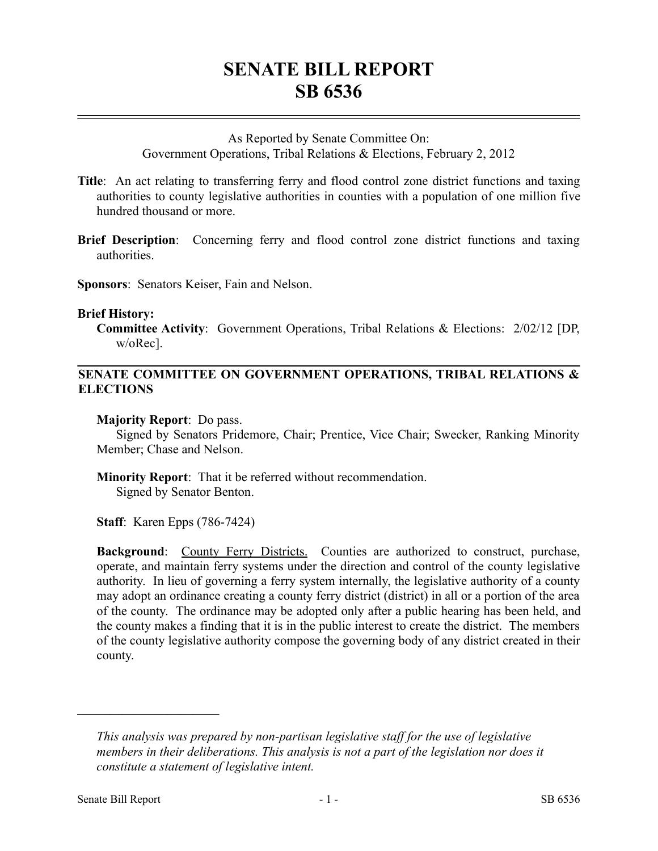# **SENATE BILL REPORT SB 6536**

### As Reported by Senate Committee On:

Government Operations, Tribal Relations & Elections, February 2, 2012

- **Title**: An act relating to transferring ferry and flood control zone district functions and taxing authorities to county legislative authorities in counties with a population of one million five hundred thousand or more.
- **Brief Description**: Concerning ferry and flood control zone district functions and taxing authorities.

**Sponsors**: Senators Keiser, Fain and Nelson.

### **Brief History:**

**Committee Activity**: Government Operations, Tribal Relations & Elections: 2/02/12 [DP, w/oRec].

# **SENATE COMMITTEE ON GOVERNMENT OPERATIONS, TRIBAL RELATIONS & ELECTIONS**

## **Majority Report**: Do pass.

Signed by Senators Pridemore, Chair; Prentice, Vice Chair; Swecker, Ranking Minority Member; Chase and Nelson.

**Minority Report**: That it be referred without recommendation. Signed by Senator Benton.

**Staff**: Karen Epps (786-7424)

**Background**: County Ferry Districts. Counties are authorized to construct, purchase, operate, and maintain ferry systems under the direction and control of the county legislative authority. In lieu of governing a ferry system internally, the legislative authority of a county may adopt an ordinance creating a county ferry district (district) in all or a portion of the area of the county. The ordinance may be adopted only after a public hearing has been held, and the county makes a finding that it is in the public interest to create the district. The members of the county legislative authority compose the governing body of any district created in their county.

––––––––––––––––––––––

*This analysis was prepared by non-partisan legislative staff for the use of legislative members in their deliberations. This analysis is not a part of the legislation nor does it constitute a statement of legislative intent.*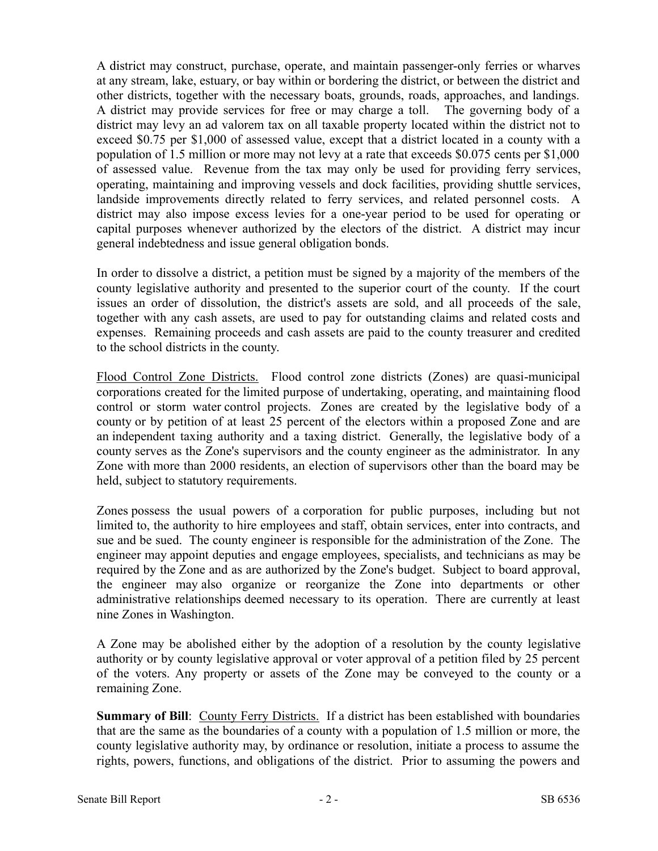A district may construct, purchase, operate, and maintain passenger-only ferries or wharves at any stream, lake, estuary, or bay within or bordering the district, or between the district and other districts, together with the necessary boats, grounds, roads, approaches, and landings. A district may provide services for free or may charge a toll. The governing body of a district may levy an ad valorem tax on all taxable property located within the district not to exceed \$0.75 per \$1,000 of assessed value, except that a district located in a county with a population of 1.5 million or more may not levy at a rate that exceeds \$0.075 cents per \$1,000 of assessed value. Revenue from the tax may only be used for providing ferry services, operating, maintaining and improving vessels and dock facilities, providing shuttle services, landside improvements directly related to ferry services, and related personnel costs. A district may also impose excess levies for a one-year period to be used for operating or capital purposes whenever authorized by the electors of the district. A district may incur general indebtedness and issue general obligation bonds.

In order to dissolve a district, a petition must be signed by a majority of the members of the county legislative authority and presented to the superior court of the county. If the court issues an order of dissolution, the district's assets are sold, and all proceeds of the sale, together with any cash assets, are used to pay for outstanding claims and related costs and expenses. Remaining proceeds and cash assets are paid to the county treasurer and credited to the school districts in the county.

Flood Control Zone Districts. Flood control zone districts (Zones) are quasi-municipal corporations created for the limited purpose of undertaking, operating, and maintaining flood control or storm water control projects. Zones are created by the legislative body of a county or by petition of at least 25 percent of the electors within a proposed Zone and are an independent taxing authority and a taxing district. Generally, the legislative body of a county serves as the Zone's supervisors and the county engineer as the administrator. In any Zone with more than 2000 residents, an election of supervisors other than the board may be held, subject to statutory requirements.

Zones possess the usual powers of a corporation for public purposes, including but not limited to, the authority to hire employees and staff, obtain services, enter into contracts, and sue and be sued. The county engineer is responsible for the administration of the Zone. The engineer may appoint deputies and engage employees, specialists, and technicians as may be required by the Zone and as are authorized by the Zone's budget. Subject to board approval, the engineer may also organize or reorganize the Zone into departments or other administrative relationships deemed necessary to its operation. There are currently at least nine Zones in Washington.

A Zone may be abolished either by the adoption of a resolution by the county legislative authority or by county legislative approval or voter approval of a petition filed by 25 percent of the voters. Any property or assets of the Zone may be conveyed to the county or a remaining Zone.

**Summary of Bill**: County Ferry Districts. If a district has been established with boundaries that are the same as the boundaries of a county with a population of 1.5 million or more, the county legislative authority may, by ordinance or resolution, initiate a process to assume the rights, powers, functions, and obligations of the district. Prior to assuming the powers and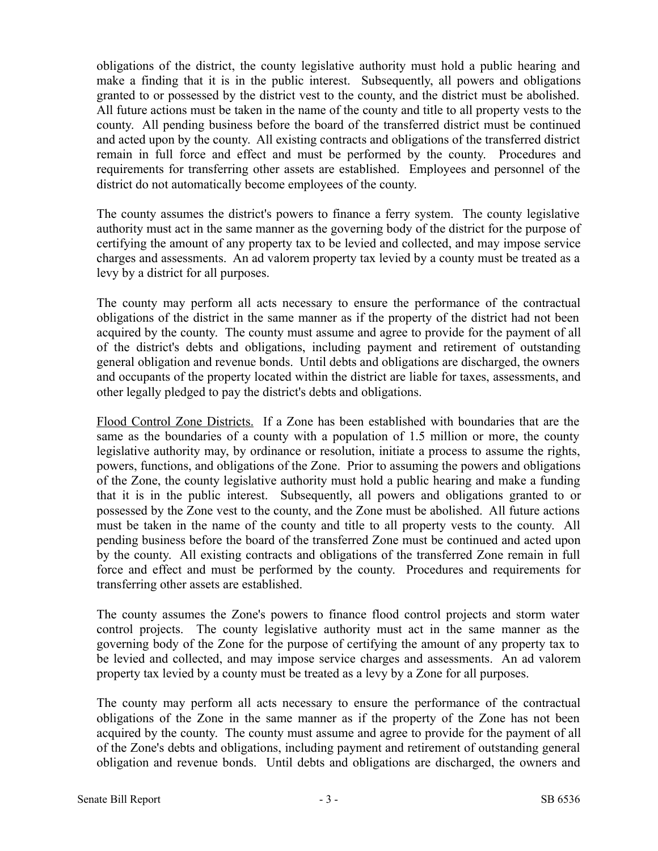obligations of the district, the county legislative authority must hold a public hearing and make a finding that it is in the public interest. Subsequently, all powers and obligations granted to or possessed by the district vest to the county, and the district must be abolished. All future actions must be taken in the name of the county and title to all property vests to the county. All pending business before the board of the transferred district must be continued and acted upon by the county. All existing contracts and obligations of the transferred district remain in full force and effect and must be performed by the county. Procedures and requirements for transferring other assets are established. Employees and personnel of the district do not automatically become employees of the county.

The county assumes the district's powers to finance a ferry system. The county legislative authority must act in the same manner as the governing body of the district for the purpose of certifying the amount of any property tax to be levied and collected, and may impose service charges and assessments. An ad valorem property tax levied by a county must be treated as a levy by a district for all purposes.

The county may perform all acts necessary to ensure the performance of the contractual obligations of the district in the same manner as if the property of the district had not been acquired by the county. The county must assume and agree to provide for the payment of all of the district's debts and obligations, including payment and retirement of outstanding general obligation and revenue bonds. Until debts and obligations are discharged, the owners and occupants of the property located within the district are liable for taxes, assessments, and other legally pledged to pay the district's debts and obligations.

Flood Control Zone Districts. If a Zone has been established with boundaries that are the same as the boundaries of a county with a population of 1.5 million or more, the county legislative authority may, by ordinance or resolution, initiate a process to assume the rights, powers, functions, and obligations of the Zone. Prior to assuming the powers and obligations of the Zone, the county legislative authority must hold a public hearing and make a funding that it is in the public interest. Subsequently, all powers and obligations granted to or possessed by the Zone vest to the county, and the Zone must be abolished. All future actions must be taken in the name of the county and title to all property vests to the county. All pending business before the board of the transferred Zone must be continued and acted upon by the county. All existing contracts and obligations of the transferred Zone remain in full force and effect and must be performed by the county. Procedures and requirements for transferring other assets are established.

The county assumes the Zone's powers to finance flood control projects and storm water control projects. The county legislative authority must act in the same manner as the governing body of the Zone for the purpose of certifying the amount of any property tax to be levied and collected, and may impose service charges and assessments. An ad valorem property tax levied by a county must be treated as a levy by a Zone for all purposes.

The county may perform all acts necessary to ensure the performance of the contractual obligations of the Zone in the same manner as if the property of the Zone has not been acquired by the county. The county must assume and agree to provide for the payment of all of the Zone's debts and obligations, including payment and retirement of outstanding general obligation and revenue bonds. Until debts and obligations are discharged, the owners and